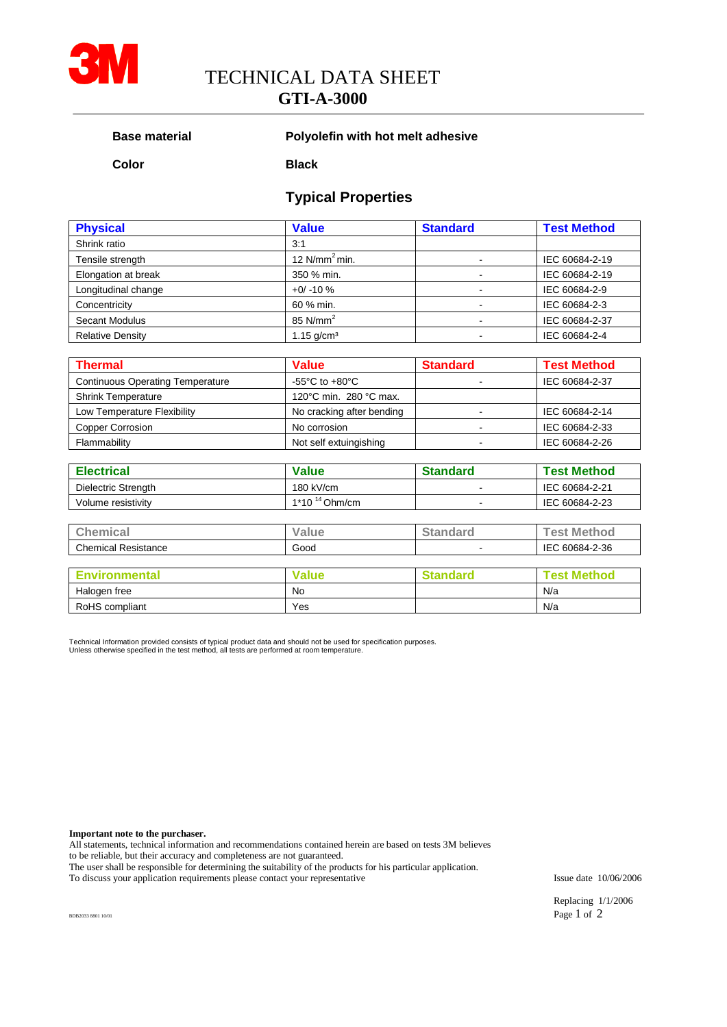

TECHNICAL DATA SHEET

# **GTI-A-3000**

#### **Base material Polyolefin with hot melt adhesive**

**Color Black**

## **Typical Properties**

| <b>Physical</b>         | <b>Value</b>             | <b>Standard</b> | <b>Test Method</b> |  |
|-------------------------|--------------------------|-----------------|--------------------|--|
| Shrink ratio            | 3:1                      |                 |                    |  |
| Tensile strength        | 12 $N/mm2 min.$          |                 | IEC 60684-2-19     |  |
| Elongation at break     | 350 % min.               |                 | IEC 60684-2-19     |  |
| Longitudinal change     | $+0/ -10%$               |                 | IEC 60684-2-9      |  |
| Concentricity           | 60 % min.                |                 | IEC 60684-2-3      |  |
| <b>Secant Modulus</b>   | 85 $N/mm2$               |                 | IEC 60684-2-37     |  |
| <b>Relative Density</b> | $1.15$ g/cm <sup>3</sup> |                 | IEC 60684-2-4      |  |

| <b>Thermal</b>                          | <b>Value</b>                         | <b>Standard</b> | <b>Test Method</b> |
|-----------------------------------------|--------------------------------------|-----------------|--------------------|
| <b>Continuous Operating Temperature</b> | -55 $^{\circ}$ C to +80 $^{\circ}$ C |                 | IEC 60684-2-37     |
| <b>Shrink Temperature</b>               | 120°C min. 280 °C max.               |                 |                    |
| Low Temperature Flexibility             | No cracking after bending            |                 | IEC 60684-2-14     |
| <b>Copper Corrosion</b>                 | No corrosion                         |                 | IEC 60684-2-33     |
| Flammability                            | Not self extuingishing               |                 | IEC 60684-2-26     |

| <b>Electrical</b>   | <b>Value</b>       | <b>Standard</b> | <b>Test Method</b> |  |  |
|---------------------|--------------------|-----------------|--------------------|--|--|
| Dielectric Strength | $180$ kV/cm        |                 | IEC 60684-2-21     |  |  |
| Volume resistivity  | $1*10^{14}$ Ohm/cm | IEC 60684-2-23  |                    |  |  |
|                     |                    |                 |                    |  |  |
| <b>Chemical</b>     | Value              | <b>Standard</b> | <b>Test Method</b> |  |  |

| ______                           | ______ |         | ______<br>_______<br>____ |  |
|----------------------------------|--------|---------|---------------------------|--|
| Chamical<br>Resistance<br>пниса. | Good   |         | 0684-2-36                 |  |
|                                  |        |         |                           |  |
|                                  | .      | _______ |                           |  |

| nvironmental   | Value | †andarc | Methor<br>. est |
|----------------|-------|---------|-----------------|
| Halogen free   | No    |         | N/a             |
| RoHS compliant | Yes   |         | N/a             |

Technical Information provided consists of typical product data and should not be used for specification purposes. Unless otherwise specified in the test method, all tests are performed at room temperature.

**Important note to the purchaser.**

All statements, technical information and recommendations contained herein are based on tests 3M believes to be reliable, but their accuracy and completeness are not guaranteed.

The user shall be responsible for determining the suitability of the products for his particular application.

To discuss your application requirements please contact your representative Issue date 10/06/2006

Replacing 1/1/2006 BDB2033 8801 10/01 **Page 1** of 2